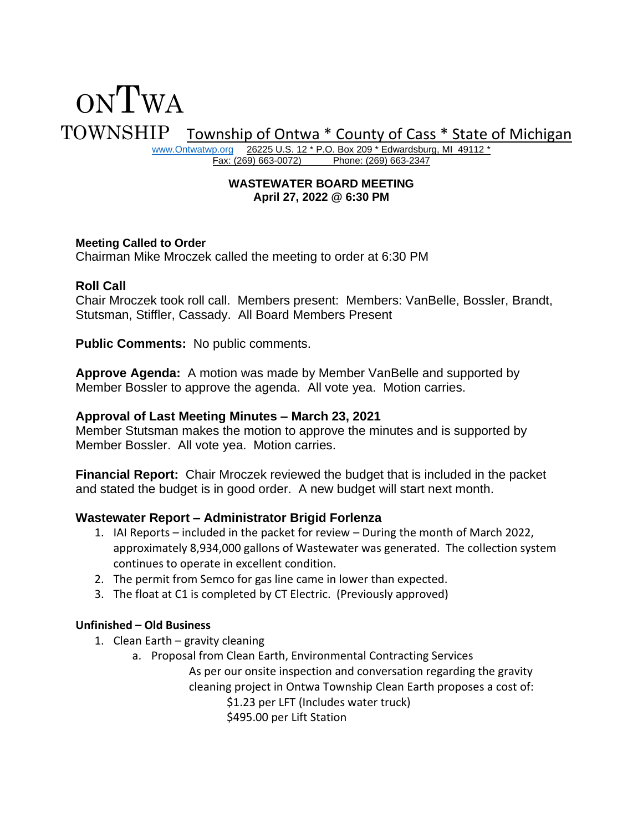# ONTWA TOWNSHIP Township of Ontwa \* County of Cass \* State of Michigan

[www.Ontwatwp.org](http://www.ontwatwp.org/) 26225 U.S. 12 \* P.O. Box 209 \* Edwardsburg, MI 49112 \*<br>Fax: (269) 663-0072) Phone: (269) 663-2347 Phone: (269) 663-2347

#### **WASTEWATER BOARD MEETING April 27, 2022 @ 6:30 PM**

# **Meeting Called to Order**

Chairman Mike Mroczek called the meeting to order at 6:30 PM

## **Roll Call**

Chair Mroczek took roll call. Members present: Members: VanBelle, Bossler, Brandt, Stutsman, Stiffler, Cassady. All Board Members Present

**Public Comments:** No public comments.

**Approve Agenda:** A motion was made by Member VanBelle and supported by Member Bossler to approve the agenda. All vote yea. Motion carries.

## **Approval of Last Meeting Minutes – March 23, 2021**

Member Stutsman makes the motion to approve the minutes and is supported by Member Bossler. All vote yea. Motion carries.

**Financial Report:** Chair Mroczek reviewed the budget that is included in the packet and stated the budget is in good order. A new budget will start next month.

## **Wastewater Report – Administrator Brigid Forlenza**

- 1. IAI Reports included in the packet for review During the month of March 2022, approximately 8,934,000 gallons of Wastewater was generated. The collection system continues to operate in excellent condition.
- 2. The permit from Semco for gas line came in lower than expected.
- 3. The float at C1 is completed by CT Electric. (Previously approved)

# **Unfinished – Old Business**

- 1. Clean Earth gravity cleaning
	- a. Proposal from Clean Earth, Environmental Contracting Services As per our onsite inspection and conversation regarding the gravity cleaning project in Ontwa Township Clean Earth proposes a cost of: \$1.23 per LFT (Includes water truck) \$495.00 per Lift Station